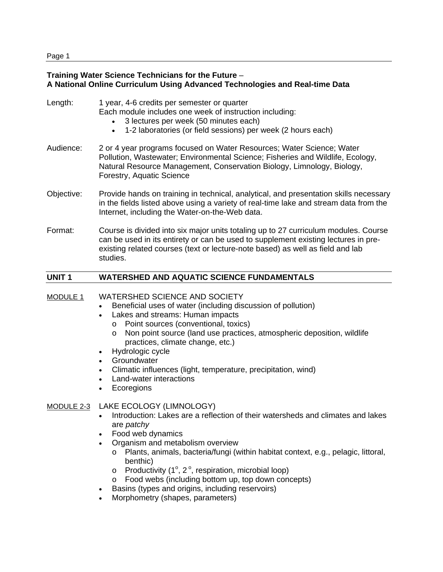# **Training Water Science Technicians for the Future** – **A National Online Curriculum Using Advanced Technologies and Real-time Data**

| Length:    | 1 year, 4-6 credits per semester or quarter<br>Each module includes one week of instruction including:<br>3 lectures per week (50 minutes each)<br>$\bullet$<br>1-2 laboratories (or field sessions) per week (2 hours each)<br>$\bullet$                               |
|------------|-------------------------------------------------------------------------------------------------------------------------------------------------------------------------------------------------------------------------------------------------------------------------|
| Audience:  | 2 or 4 year programs focused on Water Resources; Water Science; Water<br>Pollution, Wastewater; Environmental Science; Fisheries and Wildlife, Ecology,<br>Natural Resource Management, Conservation Biology, Limnology, Biology,<br>Forestry, Aquatic Science          |
| Objective: | Provide hands on training in technical, analytical, and presentation skills necessary<br>in the fields listed above using a variety of real-time lake and stream data from the<br>Internet, including the Water-on-the-Web data.                                        |
| Format:    | Course is divided into six major units totaling up to 27 curriculum modules. Course<br>can be used in its entirety or can be used to supplement existing lectures in pre-<br>existing related courses (text or lecture-note based) as well as field and lab<br>studies. |

# **UNIT 1 WATERSHED AND AQUATIC SCIENCE FUNDAMENTALS**

### MODULE 1 WATERSHED SCIENCE AND SOCIETY

- Beneficial uses of water (including discussion of pollution)
- Lakes and streams: Human impacts
	- o Point sources (conventional, toxics)
	- o Non point source (land use practices, atmospheric deposition, wildlife practices, climate change, etc.)
- Hydrologic cycle
- Groundwater
- Climatic influences (light, temperature, precipitation, wind)
- Land-water interactions
- Ecoregions

### MODULE 2-3 LAKE ECOLOGY (LIMNOLOGY)

- Introduction: Lakes are a reflection of their watersheds and climates and lakes are *patchy*
- Food web dynamics
- Organism and metabolism overview
	- o Plants, animals, bacteria/fungi (within habitat context, e.g., pelagic, littoral, benthic)
	- $\circ$  Productivity (1°, 2°, respiration, microbial loop)
	- o Food webs (including bottom up, top down concepts)
- Basins (types and origins, including reservoirs)
- Morphometry (shapes, parameters)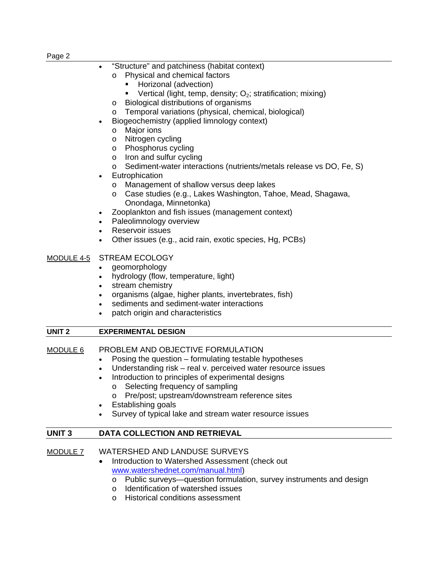- "Structure" and patchiness (habitat context)
	- o Physical and chemical factors
		- **Horizonal (advection)**
		- Vertical (light, temp, density;  $O_2$ ; stratification; mixing)
	- o Biological distributions of organisms
	- o Temporal variations (physical, chemical, biological)
- Biogeochemistry (applied limnology context)
	- o Major ions
	- o Nitrogen cycling
	- o Phosphorus cycling
	- o Iron and sulfur cycling
	- o Sediment-water interactions (nutrients/metals release vs DO, Fe, S)
- **Eutrophication** 
	- o Management of shallow versus deep lakes
	- o Case studies (e.g., Lakes Washington, Tahoe, Mead, Shagawa, Onondaga, Minnetonka)
- Zooplankton and fish issues (management context)
- Paleolimnology overview
- Reservoir issues
- Other issues (e.g., acid rain, exotic species, Hg, PCBs)

# MODULE 4-5 STREAM ECOLOGY

- geomorphology
- hydrology (flow, temperature, light)
- stream chemistry
- organisms (algae, higher plants, invertebrates, fish)
- sediments and sediment-water interactions
- patch origin and characteristics

| <b>EXPERIMENTAL DESIGN</b><br>UNIT <sub>2</sub> |  |
|-------------------------------------------------|--|
|-------------------------------------------------|--|

| PROBLEM AND OBJECTIVE FORMULATION<br>MODULE 6 |
|-----------------------------------------------|
|-----------------------------------------------|

- Posing the question formulating testable hypotheses
- Understanding risk real v. perceived water resource issues
- Introduction to principles of experimental designs
	- o Selecting frequency of sampling
	- o Pre/post; upstream/downstream reference sites
- Establishing goals
- Survey of typical lake and stream water resource issues

# **UNIT 3 DATA COLLECTION AND RETRIEVAL**

- MODULE 7 WATERSHED AND LANDUSE SURVEYS
	- Introduction to Watershed Assessment (check out www.watershednet.com/manual.html)
		- o Public surveys—question formulation, survey instruments and design
		- o Identification of watershed issues
		- o Historical conditions assessment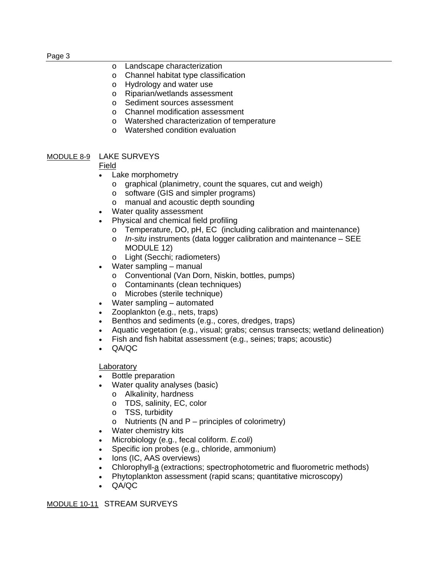|--|--|

- o Landscape characterization
- o Channel habitat type classification
- o Hydrology and water use
- o Riparian/wetlands assessment
- o Sediment sources assessment
- o Channel modification assessment
- o Watershed characterization of temperature
- o Watershed condition evaluation

### MODULE 8-9 LAKE SURVEYS

### Field

- Lake morphometry
	- o graphical (planimetry, count the squares, cut and weigh)
	- o software (GIS and simpler programs)
	- o manual and acoustic depth sounding
- Water quality assessment
- Physical and chemical field profiling
	- o Temperature, DO, pH, EC (including calibration and maintenance)
	- o *In-situ* instruments (data logger calibration and maintenance SEE MODULE 12)
	- o Light (Secchi; radiometers)
- Water sampling manual
	- o Conventional (Van Dorn, Niskin, bottles, pumps)
	- o Contaminants (clean techniques)
	- o Microbes (sterile technique)
- Water sampling automated
- Zooplankton (e.g., nets, traps)
- Benthos and sediments (e.g., cores, dredges, traps)
- Aquatic vegetation (e.g., visual; grabs; census transects; wetland delineation)
- Fish and fish habitat assessment (e.g., seines; traps; acoustic)
- QA/QC

#### Laboratory

- Bottle preparation
- Water quality analyses (basic)
	- o Alkalinity, hardness
	- o TDS, salinity, EC, color
	- o TSS, turbidity
	- o Nutrients (N and  $P$  principles of colorimetry)
- Water chemistry kits
- Microbiology (e.g., fecal coliform. *E.coli*)
- Specific ion probes (e.g., chloride, ammonium)
- Ions (IC, AAS overviews)
- Chlorophyll-a (extractions; spectrophotometric and fluorometric methods)
- Phytoplankton assessment (rapid scans; quantitative microscopy)
- QA/QC

MODULE 10-11 STREAM SURVEYS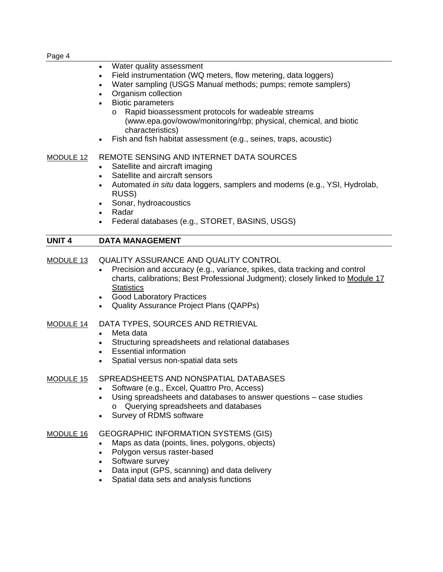| Water quality assessment<br>Field instrumentation (WQ meters, flow metering, data loggers)<br>٠<br>Water sampling (USGS Manual methods; pumps; remote samplers)<br>Organism collection<br><b>Biotic parameters</b><br>Rapid bioassessment protocols for wadeable streams<br>$\circ$<br>(www.epa.gov/owow/monitoring/rbp; physical, chemical, and biotic<br>characteristics)<br>Fish and fish habitat assessment (e.g., seines, traps, acoustic) |
|-------------------------------------------------------------------------------------------------------------------------------------------------------------------------------------------------------------------------------------------------------------------------------------------------------------------------------------------------------------------------------------------------------------------------------------------------|
| REMOTE SENSING AND INTERNET DATA SOURCES<br>Satellite and aircraft imaging<br>$\bullet$<br>Satellite and aircraft sensors<br>Automated in situ data loggers, samplers and modems (e.g., YSI, Hydrolab,<br>$\bullet$<br>RUSS)<br>Sonar, hydroacoustics<br>$\bullet$<br>Radar<br>$\bullet$<br>Federal databases (e.g., STORET, BASINS, USGS)                                                                                                      |
| <b>DATA MANAGEMENT</b>                                                                                                                                                                                                                                                                                                                                                                                                                          |
| <b>QUALITY ASSURANCE AND QUALITY CONTROL</b><br>Precision and accuracy (e.g., variance, spikes, data tracking and control<br>charts, calibrations; Best Professional Judgment); closely linked to Module 17<br><b>Statistics</b><br><b>Good Laboratory Practices</b><br>$\bullet$<br><b>Quality Assurance Project Plans (QAPPs)</b>                                                                                                             |
| DATA TYPES, SOURCES AND RETRIEVAL<br>Meta data<br>$\bullet$<br>Structuring spreadsheets and relational databases<br><b>Essential information</b><br>$\bullet$<br>Spatial versus non-spatial data sets                                                                                                                                                                                                                                           |
| SPREADSHEETS AND NONSPATIAL DATABASES<br>Software (e.g., Excel, Quattro Pro, Access)<br>Using spreadsheets and databases to answer questions – case studies<br>$\bullet$<br>Querying spreadsheets and databases<br>$\circ$<br>Survey of RDMS software                                                                                                                                                                                           |
| <b>GEOGRAPHIC INFORMATION SYSTEMS (GIS)</b><br>Maps as data (points, lines, polygons, objects)<br>Polygon versus raster-based<br>$\bullet$<br>Software survey<br>$\bullet$                                                                                                                                                                                                                                                                      |
|                                                                                                                                                                                                                                                                                                                                                                                                                                                 |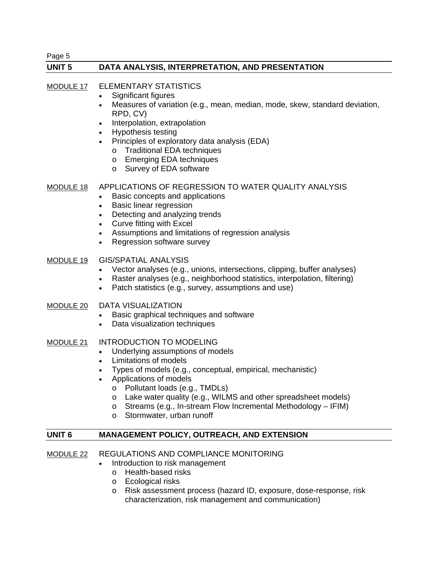Page 5

### **UNIT 5 DATA ANALYSIS, INTERPRETATION, AND PRESENTATION**

### MODULE 17 ELEMENTARY STATISTICS

- Significant figures
- Measures of variation (e.g., mean, median, mode, skew, standard deviation, RPD, CV)
- Interpolation, extrapolation
- Hypothesis testing
- Principles of exploratory data analysis (EDA)
	- o Traditional EDA techniques
	- o Emerging EDA techniques
	- o Survey of EDA software

### MODULE 18 APPLICATIONS OF REGRESSION TO WATER QUALITY ANALYSIS

- Basic concepts and applications
- Basic linear regression
- Detecting and analyzing trends
- Curve fitting with Excel
- Assumptions and limitations of regression analysis
- Regression software survey

### MODULE 19 GIS/SPATIAL ANALYSIS

- Vector analyses (e.g., unions, intersections, clipping, buffer analyses)
- Raster analyses (e.g., neighborhood statistics, interpolation, filtering)
- Patch statistics (e.g., survey, assumptions and use)

# MODULE 20 DATA VISUALIZATION

- Basic graphical techniques and software
- Data visualization techniques
- MODULE 21 INTRODUCTION TO MODELING
	- Underlying assumptions of models
	- Limitations of models
	- Types of models (e.g., conceptual, empirical, mechanistic)
	- Applications of models
		- o Pollutant loads (e.g., TMDLs)
		- o Lake water quality (e.g., WILMS and other spreadsheet models)
		- o Streams (e.g., In-stream Flow Incremental Methodology IFIM)
		- o Stormwater, urban runoff

### **UNIT 6 MANAGEMENT POLICY, OUTREACH, AND EXTENSION**

- MODULE 22 REGULATIONS AND COMPLIANCE MONITORING
	- Introduction to risk management
		- o Health-based risks
		- o Ecological risks
		- o Risk assessment process (hazard ID, exposure, dose-response, risk characterization, risk management and communication)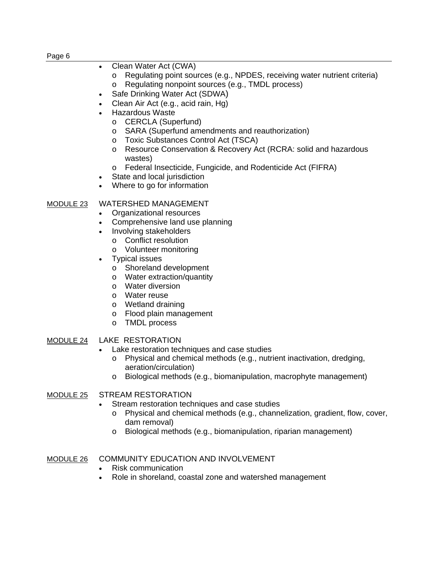#### Page 6

- Clean Water Act (CWA)
	- o Regulating point sources (e.g., NPDES, receiving water nutrient criteria) o Regulating nonpoint sources (e.g., TMDL process)
- Safe Drinking Water Act (SDWA)
- Clean Air Act (e.g., acid rain, Hg)
- Hazardous Waste
	- o CERCLA (Superfund)
	- o SARA (Superfund amendments and reauthorization)
	- o Toxic Substances Control Act (TSCA)
	- o Resource Conservation & Recovery Act (RCRA: solid and hazardous wastes)
	- o Federal Insecticide, Fungicide, and Rodenticide Act (FIFRA)
- State and local jurisdiction
- Where to go for information

# MODULE 23 WATERSHED MANAGEMENT

- Organizational resources
- Comprehensive land use planning
- Involving stakeholders
	- o Conflict resolution
	- o Volunteer monitoring
- Typical issues
	- o Shoreland development
	- o Water extraction/quantity
	- o Water diversion
	- o Water reuse
	- o Wetland draining
	- o Flood plain management
	- o TMDL process
- MODULE 24 LAKE RESTORATION
	- Lake restoration techniques and case studies
		- o Physical and chemical methods (e.g., nutrient inactivation, dredging, aeration/circulation)
		- o Biological methods (e.g., biomanipulation, macrophyte management)

# MODULE 25 STREAM RESTORATION

- Stream restoration techniques and case studies
	- o Physical and chemical methods (e.g., channelization, gradient, flow, cover, dam removal)
	- o Biological methods (e.g., biomanipulation, riparian management)

# MODULE 26 COMMUNITY EDUCATION AND INVOLVEMENT

- Risk communication
- Role in shoreland, coastal zone and watershed management